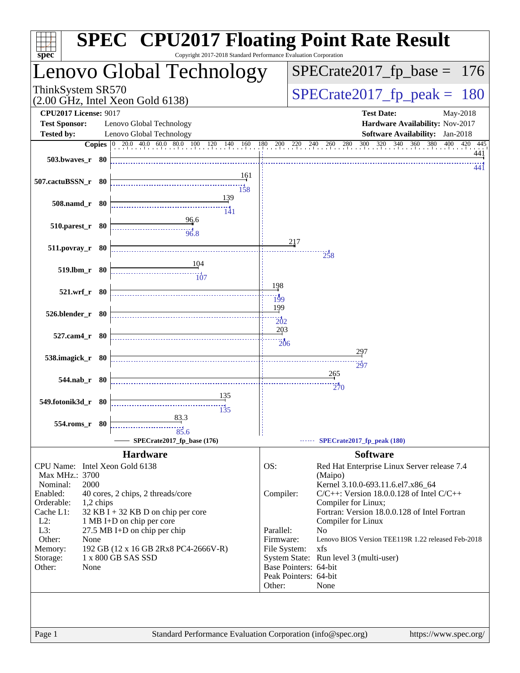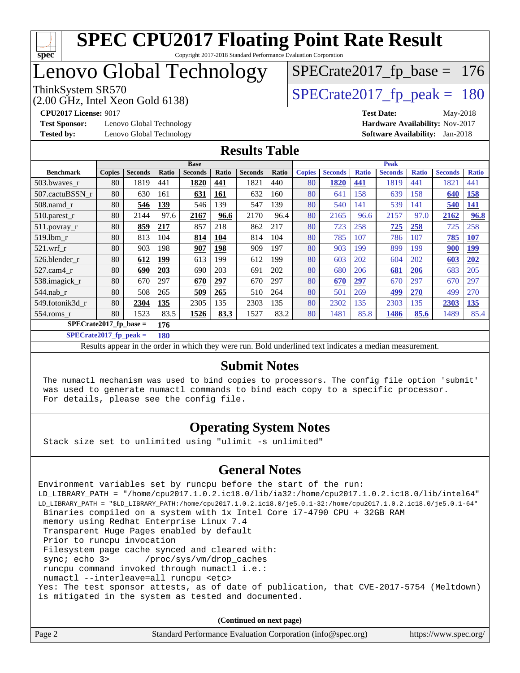

## Lenovo Global Technology

(2.00 GHz, Intel Xeon Gold 6138)

ThinkSystem SR570<br>(2.00 GHz, Intel Xeon Gold 6138) [SPECrate2017\\_fp\\_peak =](http://www.spec.org/auto/cpu2017/Docs/result-fields.html#SPECrate2017fppeak) 180

[SPECrate2017\\_fp\\_base =](http://www.spec.org/auto/cpu2017/Docs/result-fields.html#SPECrate2017fpbase) 176

**[Test Sponsor:](http://www.spec.org/auto/cpu2017/Docs/result-fields.html#TestSponsor)** Lenovo Global Technology **[Hardware Availability:](http://www.spec.org/auto/cpu2017/Docs/result-fields.html#HardwareAvailability)** Nov-2017 **[Tested by:](http://www.spec.org/auto/cpu2017/Docs/result-fields.html#Testedby)** Lenovo Global Technology **[Software Availability:](http://www.spec.org/auto/cpu2017/Docs/result-fields.html#SoftwareAvailability)** Jan-2018

**[CPU2017 License:](http://www.spec.org/auto/cpu2017/Docs/result-fields.html#CPU2017License)** 9017 **[Test Date:](http://www.spec.org/auto/cpu2017/Docs/result-fields.html#TestDate)** May-2018

#### **[Results Table](http://www.spec.org/auto/cpu2017/Docs/result-fields.html#ResultsTable)**

|                  | <b>Base</b>                     |                |            |                | <b>Peak</b> |                |       |               |                |              |                |              |                |              |
|------------------|---------------------------------|----------------|------------|----------------|-------------|----------------|-------|---------------|----------------|--------------|----------------|--------------|----------------|--------------|
| <b>Benchmark</b> | <b>Copies</b>                   | <b>Seconds</b> | Ratio      | <b>Seconds</b> | Ratio       | <b>Seconds</b> | Ratio | <b>Copies</b> | <b>Seconds</b> | <b>Ratio</b> | <b>Seconds</b> | <b>Ratio</b> | <b>Seconds</b> | <b>Ratio</b> |
| 503.bwayes_r     | 80                              | 1819           | 441        | 1820           | 441         | 1821           | 440   | 80            | 1820           | 441          | 1819           | 441          | 1821           | 441          |
| 507.cactuBSSN r  | 80                              | 630            | 161        | 631            | <b>161</b>  | 632            | 160   | 80            | 641            | 158          | 639            | 158          | 640            | 158          |
| $508$ .namd $r$  | 80                              | 546            | 139        | 546            | 139         | 547            | 139   | 80            | 540            | 141          | 539            | 141          | 540            | 141          |
| $510.parest_r$   | 80                              | 2144           | 97.6       | 2167           | 96.6        | 2170           | 96.4  | 80            | 2165           | 96.6         | 2157           | 97.0         | 2162           | 96.8         |
| 511.povray_r     | 80                              | 859            | <u>217</u> | 857            | 218         | 862            | 217   | 80            | 723            | 258          | 725            | 258          | 725            | 258          |
| $519$ .lbm $r$   | 80                              | 813            | 104        | 814            | 104         | 814            | 104   | 80            | 785            | 107          | 786            | 107          | 785            | <b>107</b>   |
| $521$ .wrf r     | 80                              | 903            | 198        | 907            | 198         | 909            | 197   | 80            | 903            | 199          | 899            | 199          | 900            | <u>199</u>   |
| 526.blender r    | 80                              | 612            | 199        | 613            | 199         | 612            | 199   | 80            | 603            | 202          | 604            | 202          | 603            | 202          |
| $527$ .cam $4r$  | 80                              | 690            | <b>203</b> | 690            | 203         | 691            | 202   | 80            | 680            | 206          | 681            | 206          | 683            | 205          |
| 538.imagick_r    | 80                              | 670            | 297        | 670            | 297         | 670            | 297   | 80            | 670            | 297          | 670            | 297          | 670            | 297          |
| $544$ .nab r     | 80                              | 508            | 265        | 509            | 265         | 510            | 264   | 80            | 501            | 269          | 499            | <b>270</b>   | 499            | 270          |
| 549.fotonik3d r  | 80                              | 2304           | 135        | 2305           | 135         | 2303           | 135   | 80            | 2302           | 135          | 2303           | 135          | 2303           | 135          |
| $554$ .roms $r$  | 80                              | 1523           | 83.5       | 1526           | 83.3        | 1527           | 83.2  | 80            | 1481           | 85.8         | 1486           | 85.6         | 1489           | 85.4         |
|                  | $SPECrate2017$ fp base =<br>176 |                |            |                |             |                |       |               |                |              |                |              |                |              |

**[SPECrate2017\\_fp\\_peak =](http://www.spec.org/auto/cpu2017/Docs/result-fields.html#SPECrate2017fppeak) 180**

Results appear in the [order in which they were run.](http://www.spec.org/auto/cpu2017/Docs/result-fields.html#RunOrder) Bold underlined text [indicates a median measurement.](http://www.spec.org/auto/cpu2017/Docs/result-fields.html#Median)

#### **[Submit Notes](http://www.spec.org/auto/cpu2017/Docs/result-fields.html#SubmitNotes)**

 The numactl mechanism was used to bind copies to processors. The config file option 'submit' was used to generate numactl commands to bind each copy to a specific processor. For details, please see the config file.

#### **[Operating System Notes](http://www.spec.org/auto/cpu2017/Docs/result-fields.html#OperatingSystemNotes)**

Stack size set to unlimited using "ulimit -s unlimited"

#### **[General Notes](http://www.spec.org/auto/cpu2017/Docs/result-fields.html#GeneralNotes)**

Environment variables set by runcpu before the start of the run: LD\_LIBRARY\_PATH = "/home/cpu2017.1.0.2.ic18.0/lib/ia32:/home/cpu2017.1.0.2.ic18.0/lib/intel64" LD\_LIBRARY\_PATH = "\$LD\_LIBRARY\_PATH:/home/cpu2017.1.0.2.ic18.0/je5.0.1-32:/home/cpu2017.1.0.2.ic18.0/je5.0.1-64" Binaries compiled on a system with 1x Intel Core i7-4790 CPU + 32GB RAM memory using Redhat Enterprise Linux 7.4 Transparent Huge Pages enabled by default Prior to runcpu invocation Filesystem page cache synced and cleared with: sync; echo 3> /proc/sys/vm/drop\_caches runcpu command invoked through numactl i.e.: numactl --interleave=all runcpu <etc> Yes: The test sponsor attests, as of date of publication, that CVE-2017-5754 (Meltdown) is mitigated in the system as tested and documented.

**(Continued on next page)**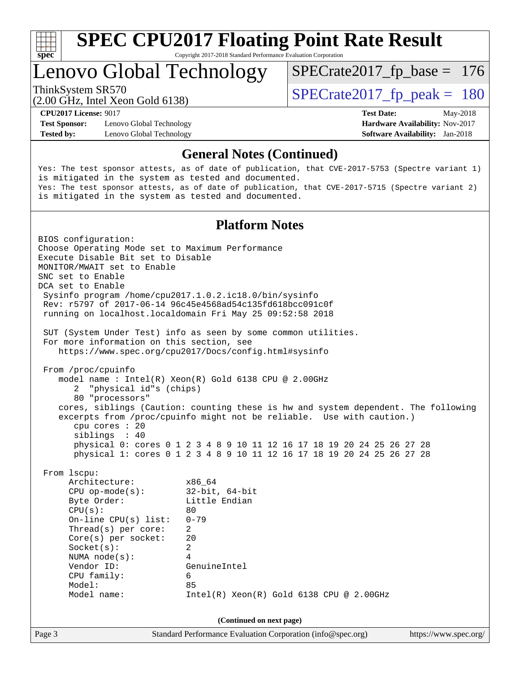

Copyright 2017-2018 Standard Performance Evaluation Corporation

### Lenovo Global Technology

ThinkSystem SR570<br>  $\begin{array}{|l|l|l|l|}\n\hline\n\text{SPECrate2017\_fp\_peak} = 180\n\hline\n\end{array}$ 

[SPECrate2017\\_fp\\_base =](http://www.spec.org/auto/cpu2017/Docs/result-fields.html#SPECrate2017fpbase) 176

(2.00 GHz, Intel Xeon Gold 6138)

**[Test Sponsor:](http://www.spec.org/auto/cpu2017/Docs/result-fields.html#TestSponsor)** Lenovo Global Technology **[Hardware Availability:](http://www.spec.org/auto/cpu2017/Docs/result-fields.html#HardwareAvailability)** Nov-2017 **[Tested by:](http://www.spec.org/auto/cpu2017/Docs/result-fields.html#Testedby)** Lenovo Global Technology **[Software Availability:](http://www.spec.org/auto/cpu2017/Docs/result-fields.html#SoftwareAvailability)** Jan-2018

**[CPU2017 License:](http://www.spec.org/auto/cpu2017/Docs/result-fields.html#CPU2017License)** 9017 **[Test Date:](http://www.spec.org/auto/cpu2017/Docs/result-fields.html#TestDate)** May-2018

#### **[General Notes \(Continued\)](http://www.spec.org/auto/cpu2017/Docs/result-fields.html#GeneralNotes)**

Yes: The test sponsor attests, as of date of publication, that CVE-2017-5753 (Spectre variant 1) is mitigated in the system as tested and documented. Yes: The test sponsor attests, as of date of publication, that CVE-2017-5715 (Spectre variant 2) is mitigated in the system as tested and documented.

#### **[Platform Notes](http://www.spec.org/auto/cpu2017/Docs/result-fields.html#PlatformNotes)**

Page 3 Standard Performance Evaluation Corporation [\(info@spec.org\)](mailto:info@spec.org) <https://www.spec.org/> BIOS configuration: Choose Operating Mode set to Maximum Performance Execute Disable Bit set to Disable MONITOR/MWAIT set to Enable SNC set to Enable DCA set to Enable Sysinfo program /home/cpu2017.1.0.2.ic18.0/bin/sysinfo Rev: r5797 of 2017-06-14 96c45e4568ad54c135fd618bcc091c0f running on localhost.localdomain Fri May 25 09:52:58 2018 SUT (System Under Test) info as seen by some common utilities. For more information on this section, see <https://www.spec.org/cpu2017/Docs/config.html#sysinfo> From /proc/cpuinfo model name : Intel(R) Xeon(R) Gold 6138 CPU @ 2.00GHz 2 "physical id"s (chips) 80 "processors" cores, siblings (Caution: counting these is hw and system dependent. The following excerpts from /proc/cpuinfo might not be reliable. Use with caution.) cpu cores : 20 siblings : 40 physical 0: cores 0 1 2 3 4 8 9 10 11 12 16 17 18 19 20 24 25 26 27 28 physical 1: cores 0 1 2 3 4 8 9 10 11 12 16 17 18 19 20 24 25 26 27 28 From lscpu: Architecture: x86\_64 CPU op-mode(s): 32-bit, 64-bit Byte Order: Little Endian  $CPU(s):$  80 On-line CPU(s) list: 0-79 Thread(s) per core: 2 Core(s) per socket: 20 Socket(s): 2 NUMA node(s): 4 Vendor ID: GenuineIntel CPU family: 6 Model: 85 Model name: Intel(R) Xeon(R) Gold 6138 CPU @ 2.00GHz **(Continued on next page)**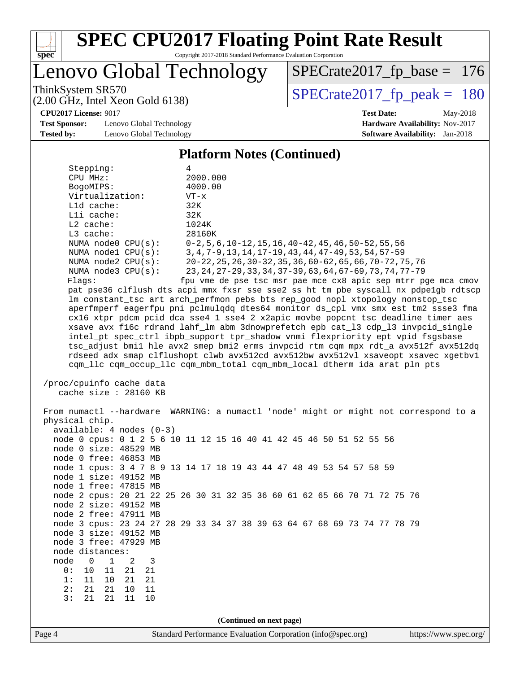

Copyright 2017-2018 Standard Performance Evaluation Corporation

Lenovo Global Technology

ThinkSystem SR570<br>(2.00 GHz, Intel Xeon Gold 6138) [SPECrate2017\\_fp\\_peak =](http://www.spec.org/auto/cpu2017/Docs/result-fields.html#SPECrate2017fppeak) 180 [SPECrate2017\\_fp\\_base =](http://www.spec.org/auto/cpu2017/Docs/result-fields.html#SPECrate2017fpbase) 176

(2.00 GHz, Intel Xeon Gold 6138)

**[CPU2017 License:](http://www.spec.org/auto/cpu2017/Docs/result-fields.html#CPU2017License)** 9017 **[Test Date:](http://www.spec.org/auto/cpu2017/Docs/result-fields.html#TestDate)** May-2018

**[Test Sponsor:](http://www.spec.org/auto/cpu2017/Docs/result-fields.html#TestSponsor)** Lenovo Global Technology **[Hardware Availability:](http://www.spec.org/auto/cpu2017/Docs/result-fields.html#HardwareAvailability)** Nov-2017 **[Tested by:](http://www.spec.org/auto/cpu2017/Docs/result-fields.html#Testedby)** Lenovo Global Technology **[Software Availability:](http://www.spec.org/auto/cpu2017/Docs/result-fields.html#SoftwareAvailability)** Jan-2018

**[Platform Notes \(Continued\)](http://www.spec.org/auto/cpu2017/Docs/result-fields.html#PlatformNotes)**

Stepping: 4 CPU MHz: 2000.000 BogoMIPS: 4000.00 Virtualization: VT-x L1d cache: 32K L1i cache: 32K L2 cache: 1024K L3 cache: 28160K NUMA node0 CPU(s): 0-2,5,6,10-12,15,16,40-42,45,46,50-52,55,56 NUMA node1 CPU(s): 3,4,7-9,13,14,17-19,43,44,47-49,53,54,57-59 NUMA node2 CPU(s): 20-22,25,26,30-32,35,36,60-62,65,66,70-72,75,76 NUMA node3 CPU(s): 23,24,27-29,33,34,37-39,63,64,67-69,73,74,77-79 Flags: fpu vme de pse tsc msr pae mce cx8 apic sep mtrr pge mca cmov pat pse36 clflush dts acpi mmx fxsr sse sse2 ss ht tm pbe syscall nx pdpe1gb rdtscp lm constant\_tsc art arch\_perfmon pebs bts rep\_good nopl xtopology nonstop\_tsc aperfmperf eagerfpu pni pclmulqdq dtes64 monitor ds\_cpl vmx smx est tm2 ssse3 fma cx16 xtpr pdcm pcid dca sse4\_1 sse4\_2 x2apic movbe popcnt tsc\_deadline\_timer aes xsave avx f16c rdrand lahf\_lm abm 3dnowprefetch epb cat\_l3 cdp\_l3 invpcid\_single intel\_pt spec\_ctrl ibpb\_support tpr\_shadow vnmi flexpriority ept vpid fsgsbase tsc\_adjust bmi1 hle avx2 smep bmi2 erms invpcid rtm cqm mpx rdt\_a avx512f avx512dq rdseed adx smap clflushopt clwb avx512cd avx512bw avx512vl xsaveopt xsavec xgetbv1

cqm\_llc cqm\_occup\_llc cqm\_mbm\_total cqm\_mbm\_local dtherm ida arat pln pts

 /proc/cpuinfo cache data cache size : 28160 KB

Page 4 Standard Performance Evaluation Corporation [\(info@spec.org\)](mailto:info@spec.org) <https://www.spec.org/> From numactl --hardware WARNING: a numactl 'node' might or might not correspond to a physical chip. available: 4 nodes (0-3) node 0 cpus: 0 1 2 5 6 10 11 12 15 16 40 41 42 45 46 50 51 52 55 56 node 0 size: 48529 MB node 0 free: 46853 MB node 1 cpus: 3 4 7 8 9 13 14 17 18 19 43 44 47 48 49 53 54 57 58 59 node 1 size: 49152 MB node 1 free: 47815 MB node 2 cpus: 20 21 22 25 26 30 31 32 35 36 60 61 62 65 66 70 71 72 75 76 node 2 size: 49152 MB node 2 free: 47911 MB node 3 cpus: 23 24 27 28 29 33 34 37 38 39 63 64 67 68 69 73 74 77 78 79 node 3 size: 49152 MB node 3 free: 47929 MB node distances: node 0 1 2 3 0: 10 11 21 21 1: 11 10 21 21 2: 21 21 10 11 3: 21 21 11 10 **(Continued on next page)**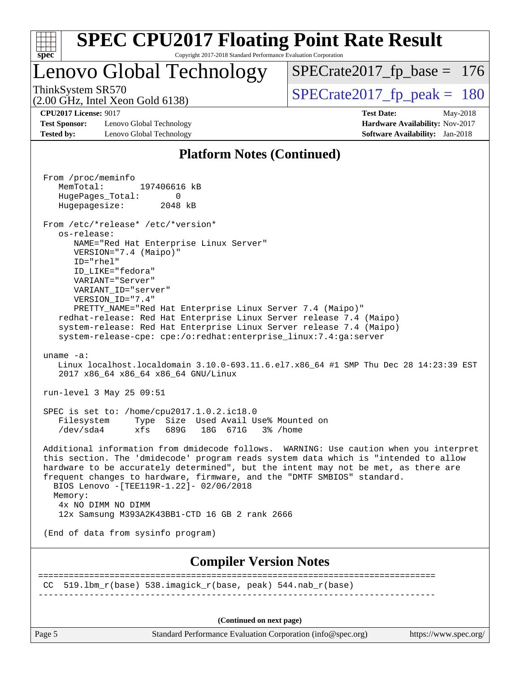| S<br>e<br>U |  |  |  |  |  |  |  |
|-------------|--|--|--|--|--|--|--|

### Lenovo Global Technology

ThinkSystem SR570<br>  $\begin{array}{|l|l|l|l|}\n\hline\n\text{SPECrate2017\_fp\_peak} = 180\n\hline\n\end{array}$ [SPECrate2017\\_fp\\_base =](http://www.spec.org/auto/cpu2017/Docs/result-fields.html#SPECrate2017fpbase) 176

(2.00 GHz, Intel Xeon Gold 6138)

**[Test Sponsor:](http://www.spec.org/auto/cpu2017/Docs/result-fields.html#TestSponsor)** Lenovo Global Technology **[Hardware Availability:](http://www.spec.org/auto/cpu2017/Docs/result-fields.html#HardwareAvailability)** Nov-2017 **[Tested by:](http://www.spec.org/auto/cpu2017/Docs/result-fields.html#Testedby)** Lenovo Global Technology **[Software Availability:](http://www.spec.org/auto/cpu2017/Docs/result-fields.html#SoftwareAvailability)** Jan-2018

**[CPU2017 License:](http://www.spec.org/auto/cpu2017/Docs/result-fields.html#CPU2017License)** 9017 **[Test Date:](http://www.spec.org/auto/cpu2017/Docs/result-fields.html#TestDate)** May-2018

### **[Platform Notes \(Continued\)](http://www.spec.org/auto/cpu2017/Docs/result-fields.html#PlatformNotes)**

 From /proc/meminfo MemTotal: 197406616 kB HugePages\_Total: 0 Hugepagesize: 2048 kB From /etc/\*release\* /etc/\*version\* os-release: NAME="Red Hat Enterprise Linux Server" VERSION="7.4 (Maipo)" ID="rhel" ID\_LIKE="fedora" VARIANT="Server" VARIANT\_ID="server" VERSION\_ID="7.4" PRETTY\_NAME="Red Hat Enterprise Linux Server 7.4 (Maipo)" redhat-release: Red Hat Enterprise Linux Server release 7.4 (Maipo) system-release: Red Hat Enterprise Linux Server release 7.4 (Maipo) system-release-cpe: cpe:/o:redhat:enterprise\_linux:7.4:ga:server uname -a: Linux localhost.localdomain 3.10.0-693.11.6.el7.x86\_64 #1 SMP Thu Dec 28 14:23:39 EST 2017 x86\_64 x86\_64 x86\_64 GNU/Linux run-level 3 May 25 09:51 SPEC is set to: /home/cpu2017.1.0.2.ic18.0 Filesystem Type Size Used Avail Use% Mounted on /dev/sda4 xfs 689G 18G 671G 3% /home Additional information from dmidecode follows. WARNING: Use caution when you interpret this section. The 'dmidecode' program reads system data which is "intended to allow hardware to be accurately determined", but the intent may not be met, as there are frequent changes to hardware, firmware, and the "DMTF SMBIOS" standard. BIOS Lenovo -[TEE119R-1.22]- 02/06/2018 Memory: 4x NO DIMM NO DIMM 12x Samsung M393A2K43BB1-CTD 16 GB 2 rank 2666 (End of data from sysinfo program) **[Compiler Version Notes](http://www.spec.org/auto/cpu2017/Docs/result-fields.html#CompilerVersionNotes)** ============================================================================== CC  $519.1 \text{bm}_r(\text{base})$  538.imagick $r(\text{base}, \text{peak})$  544.nab $r(\text{base})$ ------------------------------------------------------------------------------ **(Continued on next page)**

Page 5 Standard Performance Evaluation Corporation [\(info@spec.org\)](mailto:info@spec.org) <https://www.spec.org/>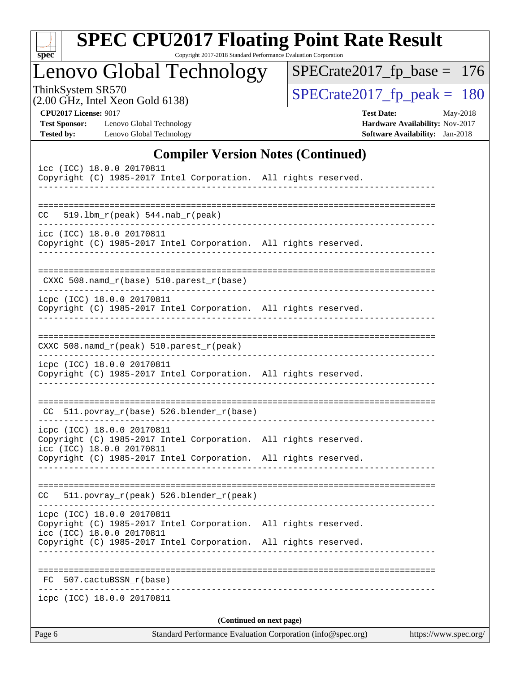| S<br>оe |  |  |  |  |  |  |  |
|---------|--|--|--|--|--|--|--|

Copyright 2017-2018 Standard Performance Evaluation Corporation

Lenovo Global Technology

ThinkSystem SR570<br>  $(2.00 \text{ GHz})$  Intel Xeon Gold 6138)

[SPECrate2017\\_fp\\_base =](http://www.spec.org/auto/cpu2017/Docs/result-fields.html#SPECrate2017fpbase) 176

(2.00 GHz, Intel Xeon Gold 6138)

**[CPU2017 License:](http://www.spec.org/auto/cpu2017/Docs/result-fields.html#CPU2017License)** 9017 **[Test Date:](http://www.spec.org/auto/cpu2017/Docs/result-fields.html#TestDate)** May-2018 **[Test Sponsor:](http://www.spec.org/auto/cpu2017/Docs/result-fields.html#TestSponsor)** Lenovo Global Technology **[Hardware Availability:](http://www.spec.org/auto/cpu2017/Docs/result-fields.html#HardwareAvailability)** Nov-2017

### **[Compiler Version Notes \(Continued\)](http://www.spec.org/auto/cpu2017/Docs/result-fields.html#CompilerVersionNotes)**

**[Tested by:](http://www.spec.org/auto/cpu2017/Docs/result-fields.html#Testedby)** Lenovo Global Technology **[Software Availability:](http://www.spec.org/auto/cpu2017/Docs/result-fields.html#SoftwareAvailability)** Jan-2018

|    | icpc (ICC) 18.0.0 20170811                                                                                                 | (Continued on next page)       |  |
|----|----------------------------------------------------------------------------------------------------------------------------|--------------------------------|--|
|    |                                                                                                                            |                                |  |
|    |                                                                                                                            |                                |  |
| FC | 507.cactuBSSN r(base)                                                                                                      |                                |  |
|    | Copyright (C) 1985-2017 Intel Corporation. All rights reserved.                                                            |                                |  |
|    | Copyright (C) 1985-2017 Intel Corporation. All rights reserved.<br>icc (ICC) 18.0.0 20170811                               |                                |  |
|    | icpc (ICC) 18.0.0 20170811                                                                                                 |                                |  |
| CC | 511.povray_r(peak) 526.blender_r(peak)                                                                                     |                                |  |
|    | Copyright (C) 1985-2017 Intel Corporation. All rights reserved.                                                            |                                |  |
|    | icpc (ICC) 18.0.0 20170811<br>Copyright (C) 1985-2017 Intel Corporation. All rights reserved.<br>icc (ICC) 18.0.0 20170811 |                                |  |
|    | CC 511.povray_r(base) 526.blender_r(base)                                                                                  |                                |  |
|    |                                                                                                                            |                                |  |
|    | icpc (ICC) 18.0.0 20170811<br>Copyright (C) 1985-2017 Intel Corporation. All rights reserved.                              | ------------------------------ |  |
|    | $CXXC 508.namd_r (peak) 510.parest_r (peak)$                                                                               |                                |  |
|    | Copyright (C) 1985-2017 Intel Corporation. All rights reserved.                                                            |                                |  |
|    | $CXXC 508.namd_r(base) 510.parest_r(base)$<br>icpc (ICC) 18.0.0 20170811                                                   |                                |  |
|    |                                                                                                                            |                                |  |
|    | icc (ICC) 18.0.0 20170811<br>Copyright (C) 1985-2017 Intel Corporation. All rights reserved.                               |                                |  |
|    | $CC = 519.1bm_r (peak) 544.nab_r (peak)$                                                                                   |                                |  |
|    |                                                                                                                            |                                |  |
|    | icc (ICC) 18.0.0 20170811<br>Copyright (C) 1985-2017 Intel Corporation. All rights reserved.<br>--------------             |                                |  |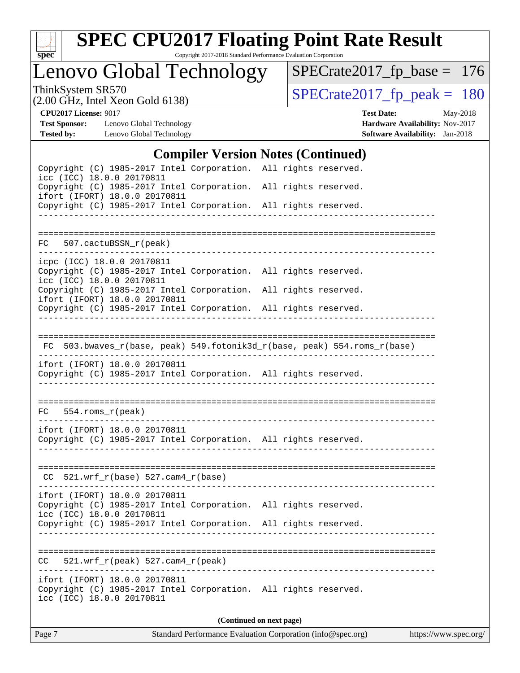

Copyright 2017-2018 Standard Performance Evaluation Corporation

Lenovo Global Technology

ThinkSystem SR570<br>  $(2.00 \text{ GHz})$  Intel Xeon Gold 6138)

[SPECrate2017\\_fp\\_base =](http://www.spec.org/auto/cpu2017/Docs/result-fields.html#SPECrate2017fpbase) 176

(2.00 GHz, Intel Xeon Gold 6138)

**[CPU2017 License:](http://www.spec.org/auto/cpu2017/Docs/result-fields.html#CPU2017License)** 9017 **[Test Date:](http://www.spec.org/auto/cpu2017/Docs/result-fields.html#TestDate)** May-2018 **[Test Sponsor:](http://www.spec.org/auto/cpu2017/Docs/result-fields.html#TestSponsor)** Lenovo Global Technology **[Hardware Availability:](http://www.spec.org/auto/cpu2017/Docs/result-fields.html#HardwareAvailability)** Nov-2017 **[Tested by:](http://www.spec.org/auto/cpu2017/Docs/result-fields.html#Testedby)** Lenovo Global Technology **[Software Availability:](http://www.spec.org/auto/cpu2017/Docs/result-fields.html#SoftwareAvailability)** Jan-2018

#### **[Compiler Version Notes \(Continued\)](http://www.spec.org/auto/cpu2017/Docs/result-fields.html#CompilerVersionNotes)**

| Copyright (C) 1985-2017 Intel Corporation. All rights reserved.<br>icc (ICC) 18.0.0 20170811                                  |                                    |                                                             |                                                                          |                       |
|-------------------------------------------------------------------------------------------------------------------------------|------------------------------------|-------------------------------------------------------------|--------------------------------------------------------------------------|-----------------------|
| Copyright (C) 1985-2017 Intel Corporation. All rights reserved.                                                               |                                    |                                                             |                                                                          |                       |
| ifort (IFORT) 18.0.0 20170811<br>Copyright (C) 1985-2017 Intel Corporation. All rights reserved.                              |                                    |                                                             |                                                                          |                       |
|                                                                                                                               |                                    |                                                             |                                                                          |                       |
| FC 507.cactuBSSN_r(peak)                                                                                                      |                                    |                                                             |                                                                          |                       |
| icpc (ICC) 18.0.0 20170811                                                                                                    |                                    |                                                             |                                                                          |                       |
| Copyright (C) 1985-2017 Intel Corporation. All rights reserved.<br>icc (ICC) 18.0.0 20170811                                  |                                    |                                                             |                                                                          |                       |
| Copyright (C) 1985-2017 Intel Corporation. All rights reserved.<br>ifort (IFORT) 18.0.0 20170811                              |                                    |                                                             |                                                                          |                       |
| Copyright (C) 1985-2017 Intel Corporation. All rights reserved.                                                               |                                    |                                                             |                                                                          |                       |
|                                                                                                                               |                                    |                                                             |                                                                          |                       |
|                                                                                                                               |                                    |                                                             | FC 503.bwaves_r(base, peak) 549.fotonik3d_r(base, peak) 554.roms_r(base) |                       |
| ifort (IFORT) 18.0.0 20170811<br>Copyright (C) 1985-2017 Intel Corporation. All rights reserved.                              |                                    | _______________________________                             |                                                                          |                       |
| $FC 554.rows_r (peak)$                                                                                                        |                                    |                                                             |                                                                          |                       |
| ifort (IFORT) 18.0.0 20170811<br>Copyright (C) 1985-2017 Intel Corporation. All rights reserved.                              |                                    |                                                             |                                                                          |                       |
| $CC$ 521.wrf_r(base) 527.cam4_r(base)                                                                                         |                                    |                                                             |                                                                          |                       |
| ifort (IFORT) 18.0.0 20170811<br>Copyright (C) 1985-2017 Intel Corporation. All rights reserved.                              |                                    |                                                             |                                                                          |                       |
| icc (ICC) 18.0.0 20170811<br>Copyright (C) 1985-2017 Intel Corporation. All rights reserved.                                  |                                    |                                                             |                                                                          |                       |
|                                                                                                                               |                                    |                                                             | ----------------                                                         |                       |
| CC                                                                                                                            | $521.wrf_r(peak) 527.cam4_r(peak)$ |                                                             |                                                                          |                       |
| ifort (IFORT) 18.0.0 20170811<br>Copyright (C) 1985-2017 Intel Corporation. All rights reserved.<br>icc (ICC) 18.0.0 20170811 |                                    |                                                             |                                                                          |                       |
|                                                                                                                               |                                    | (Continued on next page)                                    |                                                                          |                       |
| Page 7                                                                                                                        |                                    | Standard Performance Evaluation Corporation (info@spec.org) |                                                                          | https://www.spec.org/ |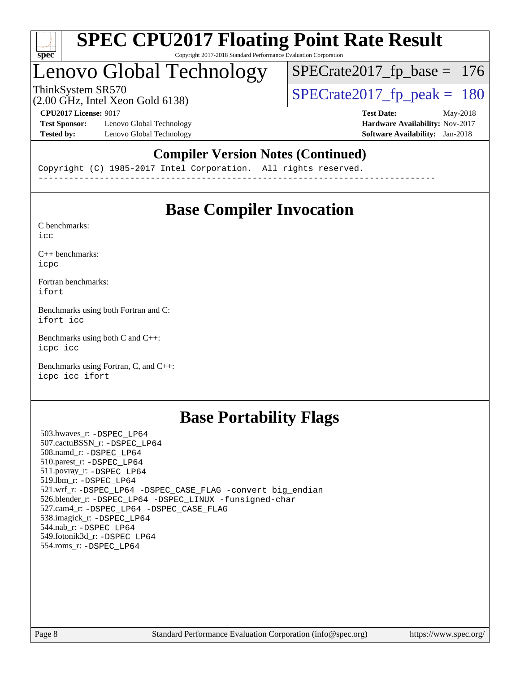

## Lenovo Global Technology

ThinkSystem SR570<br>(2.00 GHz, Intel Xeon Gold 6138) [SPECrate2017\\_fp\\_peak =](http://www.spec.org/auto/cpu2017/Docs/result-fields.html#SPECrate2017fppeak) 180

[SPECrate2017\\_fp\\_base =](http://www.spec.org/auto/cpu2017/Docs/result-fields.html#SPECrate2017fpbase) 176

(2.00 GHz, Intel Xeon Gold 6138)

**[Test Sponsor:](http://www.spec.org/auto/cpu2017/Docs/result-fields.html#TestSponsor)** Lenovo Global Technology **[Hardware Availability:](http://www.spec.org/auto/cpu2017/Docs/result-fields.html#HardwareAvailability)** Nov-2017 **[Tested by:](http://www.spec.org/auto/cpu2017/Docs/result-fields.html#Testedby)** Lenovo Global Technology **[Software Availability:](http://www.spec.org/auto/cpu2017/Docs/result-fields.html#SoftwareAvailability)** Jan-2018

**[CPU2017 License:](http://www.spec.org/auto/cpu2017/Docs/result-fields.html#CPU2017License)** 9017 **[Test Date:](http://www.spec.org/auto/cpu2017/Docs/result-fields.html#TestDate)** May-2018

### **[Compiler Version Notes \(Continued\)](http://www.spec.org/auto/cpu2017/Docs/result-fields.html#CompilerVersionNotes)**

Copyright (C) 1985-2017 Intel Corporation. All rights reserved. ------------------------------------------------------------------------------

### **[Base Compiler Invocation](http://www.spec.org/auto/cpu2017/Docs/result-fields.html#BaseCompilerInvocation)**

[C benchmarks](http://www.spec.org/auto/cpu2017/Docs/result-fields.html#Cbenchmarks): [icc](http://www.spec.org/cpu2017/results/res2018q3/cpu2017-20180619-07160.flags.html#user_CCbase_intel_icc_18.0_66fc1ee009f7361af1fbd72ca7dcefbb700085f36577c54f309893dd4ec40d12360134090235512931783d35fd58c0460139e722d5067c5574d8eaf2b3e37e92)

[C++ benchmarks:](http://www.spec.org/auto/cpu2017/Docs/result-fields.html#CXXbenchmarks) [icpc](http://www.spec.org/cpu2017/results/res2018q3/cpu2017-20180619-07160.flags.html#user_CXXbase_intel_icpc_18.0_c510b6838c7f56d33e37e94d029a35b4a7bccf4766a728ee175e80a419847e808290a9b78be685c44ab727ea267ec2f070ec5dc83b407c0218cded6866a35d07)

[Fortran benchmarks](http://www.spec.org/auto/cpu2017/Docs/result-fields.html#Fortranbenchmarks): [ifort](http://www.spec.org/cpu2017/results/res2018q3/cpu2017-20180619-07160.flags.html#user_FCbase_intel_ifort_18.0_8111460550e3ca792625aed983ce982f94888b8b503583aa7ba2b8303487b4d8a21a13e7191a45c5fd58ff318f48f9492884d4413fa793fd88dd292cad7027ca)

[Benchmarks using both Fortran and C](http://www.spec.org/auto/cpu2017/Docs/result-fields.html#BenchmarksusingbothFortranandC): [ifort](http://www.spec.org/cpu2017/results/res2018q3/cpu2017-20180619-07160.flags.html#user_CC_FCbase_intel_ifort_18.0_8111460550e3ca792625aed983ce982f94888b8b503583aa7ba2b8303487b4d8a21a13e7191a45c5fd58ff318f48f9492884d4413fa793fd88dd292cad7027ca) [icc](http://www.spec.org/cpu2017/results/res2018q3/cpu2017-20180619-07160.flags.html#user_CC_FCbase_intel_icc_18.0_66fc1ee009f7361af1fbd72ca7dcefbb700085f36577c54f309893dd4ec40d12360134090235512931783d35fd58c0460139e722d5067c5574d8eaf2b3e37e92)

[Benchmarks using both C and C++](http://www.spec.org/auto/cpu2017/Docs/result-fields.html#BenchmarksusingbothCandCXX): [icpc](http://www.spec.org/cpu2017/results/res2018q3/cpu2017-20180619-07160.flags.html#user_CC_CXXbase_intel_icpc_18.0_c510b6838c7f56d33e37e94d029a35b4a7bccf4766a728ee175e80a419847e808290a9b78be685c44ab727ea267ec2f070ec5dc83b407c0218cded6866a35d07) [icc](http://www.spec.org/cpu2017/results/res2018q3/cpu2017-20180619-07160.flags.html#user_CC_CXXbase_intel_icc_18.0_66fc1ee009f7361af1fbd72ca7dcefbb700085f36577c54f309893dd4ec40d12360134090235512931783d35fd58c0460139e722d5067c5574d8eaf2b3e37e92)

[Benchmarks using Fortran, C, and C++:](http://www.spec.org/auto/cpu2017/Docs/result-fields.html#BenchmarksusingFortranCandCXX) [icpc](http://www.spec.org/cpu2017/results/res2018q3/cpu2017-20180619-07160.flags.html#user_CC_CXX_FCbase_intel_icpc_18.0_c510b6838c7f56d33e37e94d029a35b4a7bccf4766a728ee175e80a419847e808290a9b78be685c44ab727ea267ec2f070ec5dc83b407c0218cded6866a35d07) [icc](http://www.spec.org/cpu2017/results/res2018q3/cpu2017-20180619-07160.flags.html#user_CC_CXX_FCbase_intel_icc_18.0_66fc1ee009f7361af1fbd72ca7dcefbb700085f36577c54f309893dd4ec40d12360134090235512931783d35fd58c0460139e722d5067c5574d8eaf2b3e37e92) [ifort](http://www.spec.org/cpu2017/results/res2018q3/cpu2017-20180619-07160.flags.html#user_CC_CXX_FCbase_intel_ifort_18.0_8111460550e3ca792625aed983ce982f94888b8b503583aa7ba2b8303487b4d8a21a13e7191a45c5fd58ff318f48f9492884d4413fa793fd88dd292cad7027ca)

### **[Base Portability Flags](http://www.spec.org/auto/cpu2017/Docs/result-fields.html#BasePortabilityFlags)**

 503.bwaves\_r: [-DSPEC\\_LP64](http://www.spec.org/cpu2017/results/res2018q3/cpu2017-20180619-07160.flags.html#suite_basePORTABILITY503_bwaves_r_DSPEC_LP64) 507.cactuBSSN\_r: [-DSPEC\\_LP64](http://www.spec.org/cpu2017/results/res2018q3/cpu2017-20180619-07160.flags.html#suite_basePORTABILITY507_cactuBSSN_r_DSPEC_LP64) 508.namd\_r: [-DSPEC\\_LP64](http://www.spec.org/cpu2017/results/res2018q3/cpu2017-20180619-07160.flags.html#suite_basePORTABILITY508_namd_r_DSPEC_LP64) 510.parest\_r: [-DSPEC\\_LP64](http://www.spec.org/cpu2017/results/res2018q3/cpu2017-20180619-07160.flags.html#suite_basePORTABILITY510_parest_r_DSPEC_LP64) 511.povray\_r: [-DSPEC\\_LP64](http://www.spec.org/cpu2017/results/res2018q3/cpu2017-20180619-07160.flags.html#suite_basePORTABILITY511_povray_r_DSPEC_LP64) 519.lbm\_r: [-DSPEC\\_LP64](http://www.spec.org/cpu2017/results/res2018q3/cpu2017-20180619-07160.flags.html#suite_basePORTABILITY519_lbm_r_DSPEC_LP64) 521.wrf\_r: [-DSPEC\\_LP64](http://www.spec.org/cpu2017/results/res2018q3/cpu2017-20180619-07160.flags.html#suite_basePORTABILITY521_wrf_r_DSPEC_LP64) [-DSPEC\\_CASE\\_FLAG](http://www.spec.org/cpu2017/results/res2018q3/cpu2017-20180619-07160.flags.html#b521.wrf_r_baseCPORTABILITY_DSPEC_CASE_FLAG) [-convert big\\_endian](http://www.spec.org/cpu2017/results/res2018q3/cpu2017-20180619-07160.flags.html#user_baseFPORTABILITY521_wrf_r_convert_big_endian_c3194028bc08c63ac5d04de18c48ce6d347e4e562e8892b8bdbdc0214820426deb8554edfa529a3fb25a586e65a3d812c835984020483e7e73212c4d31a38223) 526.blender\_r: [-DSPEC\\_LP64](http://www.spec.org/cpu2017/results/res2018q3/cpu2017-20180619-07160.flags.html#suite_basePORTABILITY526_blender_r_DSPEC_LP64) [-DSPEC\\_LINUX](http://www.spec.org/cpu2017/results/res2018q3/cpu2017-20180619-07160.flags.html#b526.blender_r_baseCPORTABILITY_DSPEC_LINUX) [-funsigned-char](http://www.spec.org/cpu2017/results/res2018q3/cpu2017-20180619-07160.flags.html#user_baseCPORTABILITY526_blender_r_force_uchar_40c60f00ab013830e2dd6774aeded3ff59883ba5a1fc5fc14077f794d777847726e2a5858cbc7672e36e1b067e7e5c1d9a74f7176df07886a243d7cc18edfe67) 527.cam4\_r: [-DSPEC\\_LP64](http://www.spec.org/cpu2017/results/res2018q3/cpu2017-20180619-07160.flags.html#suite_basePORTABILITY527_cam4_r_DSPEC_LP64) [-DSPEC\\_CASE\\_FLAG](http://www.spec.org/cpu2017/results/res2018q3/cpu2017-20180619-07160.flags.html#b527.cam4_r_baseCPORTABILITY_DSPEC_CASE_FLAG) 538.imagick\_r: [-DSPEC\\_LP64](http://www.spec.org/cpu2017/results/res2018q3/cpu2017-20180619-07160.flags.html#suite_basePORTABILITY538_imagick_r_DSPEC_LP64) 544.nab\_r: [-DSPEC\\_LP64](http://www.spec.org/cpu2017/results/res2018q3/cpu2017-20180619-07160.flags.html#suite_basePORTABILITY544_nab_r_DSPEC_LP64) 549.fotonik3d\_r: [-DSPEC\\_LP64](http://www.spec.org/cpu2017/results/res2018q3/cpu2017-20180619-07160.flags.html#suite_basePORTABILITY549_fotonik3d_r_DSPEC_LP64) 554.roms\_r: [-DSPEC\\_LP64](http://www.spec.org/cpu2017/results/res2018q3/cpu2017-20180619-07160.flags.html#suite_basePORTABILITY554_roms_r_DSPEC_LP64)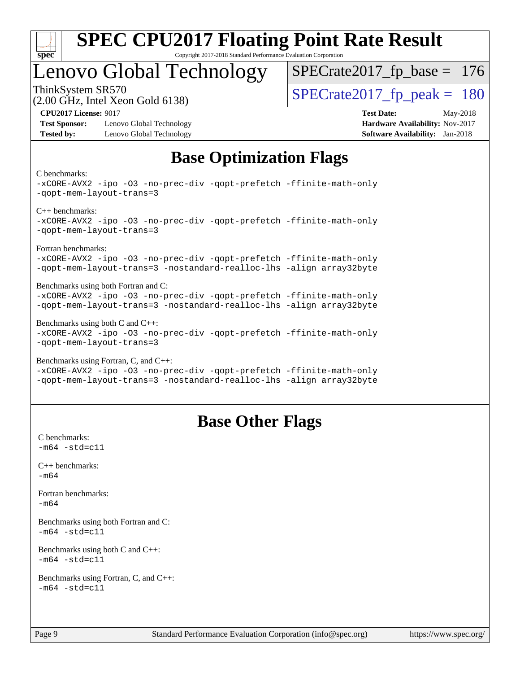

### Lenovo Global Technology

ThinkSystem SR570<br>  $\overline{SPEC}$ rate2017\_fp\_peak = 180 [SPECrate2017\\_fp\\_base =](http://www.spec.org/auto/cpu2017/Docs/result-fields.html#SPECrate2017fpbase) 176

(2.00 GHz, Intel Xeon Gold 6138)

**[Test Sponsor:](http://www.spec.org/auto/cpu2017/Docs/result-fields.html#TestSponsor)** Lenovo Global Technology **[Hardware Availability:](http://www.spec.org/auto/cpu2017/Docs/result-fields.html#HardwareAvailability)** Nov-2017 **[Tested by:](http://www.spec.org/auto/cpu2017/Docs/result-fields.html#Testedby)** Lenovo Global Technology **[Software Availability:](http://www.spec.org/auto/cpu2017/Docs/result-fields.html#SoftwareAvailability)** Jan-2018

**[CPU2017 License:](http://www.spec.org/auto/cpu2017/Docs/result-fields.html#CPU2017License)** 9017 **[Test Date:](http://www.spec.org/auto/cpu2017/Docs/result-fields.html#TestDate)** May-2018

### **[Base Optimization Flags](http://www.spec.org/auto/cpu2017/Docs/result-fields.html#BaseOptimizationFlags)**

[C benchmarks](http://www.spec.org/auto/cpu2017/Docs/result-fields.html#Cbenchmarks):

```
-xCORE-AVX2 -ipo -O3 -no-prec-div -qopt-prefetch -ffinite-math-only
-qopt-mem-layout-trans=3
C++ benchmarks: 
-xCORE-AVX2 -ipo -O3 -no-prec-div -qopt-prefetch -ffinite-math-only
-qopt-mem-layout-trans=3
Fortran benchmarks: 
-xCORE-AVX2 -ipo -O3 -no-prec-div -qopt-prefetch -ffinite-math-only
-qopt-mem-layout-trans=3 -nostandard-realloc-lhs -align array32byte
Benchmarks using both Fortran and C: 
-xCORE-AVX2 -ipo -O3 -no-prec-div -qopt-prefetch -ffinite-math-only
-qopt-mem-layout-trans=3 -nostandard-realloc-lhs -align array32byte
Benchmarks using both C and C++: 
-xCORE-AVX2 -ipo -O3 -no-prec-div -qopt-prefetch -ffinite-math-only
-qopt-mem-layout-trans=3
Benchmarks using Fortran, C, and C++: 
-xCORE-AVX2 -ipo -O3 -no-prec-div -qopt-prefetch -ffinite-math-only
```
[-qopt-mem-layout-trans=3](http://www.spec.org/cpu2017/results/res2018q3/cpu2017-20180619-07160.flags.html#user_CC_CXX_FCbase_f-qopt-mem-layout-trans_de80db37974c74b1f0e20d883f0b675c88c3b01e9d123adea9b28688d64333345fb62bc4a798493513fdb68f60282f9a726aa07f478b2f7113531aecce732043) [-nostandard-realloc-lhs](http://www.spec.org/cpu2017/results/res2018q3/cpu2017-20180619-07160.flags.html#user_CC_CXX_FCbase_f_2003_std_realloc_82b4557e90729c0f113870c07e44d33d6f5a304b4f63d4c15d2d0f1fab99f5daaed73bdb9275d9ae411527f28b936061aa8b9c8f2d63842963b95c9dd6426b8a) [-align array32byte](http://www.spec.org/cpu2017/results/res2018q3/cpu2017-20180619-07160.flags.html#user_CC_CXX_FCbase_align_array32byte_b982fe038af199962ba9a80c053b8342c548c85b40b8e86eb3cc33dee0d7986a4af373ac2d51c3f7cf710a18d62fdce2948f201cd044323541f22fc0fffc51b6)

### **[Base Other Flags](http://www.spec.org/auto/cpu2017/Docs/result-fields.html#BaseOtherFlags)**

[C benchmarks](http://www.spec.org/auto/cpu2017/Docs/result-fields.html#Cbenchmarks):  $-m64 - std = c11$  $-m64 - std = c11$ [C++ benchmarks:](http://www.spec.org/auto/cpu2017/Docs/result-fields.html#CXXbenchmarks) [-m64](http://www.spec.org/cpu2017/results/res2018q3/cpu2017-20180619-07160.flags.html#user_CXXbase_intel_intel64_18.0_af43caccfc8ded86e7699f2159af6efc7655f51387b94da716254467f3c01020a5059329e2569e4053f409e7c9202a7efc638f7a6d1ffb3f52dea4a3e31d82ab) [Fortran benchmarks](http://www.spec.org/auto/cpu2017/Docs/result-fields.html#Fortranbenchmarks): [-m64](http://www.spec.org/cpu2017/results/res2018q3/cpu2017-20180619-07160.flags.html#user_FCbase_intel_intel64_18.0_af43caccfc8ded86e7699f2159af6efc7655f51387b94da716254467f3c01020a5059329e2569e4053f409e7c9202a7efc638f7a6d1ffb3f52dea4a3e31d82ab) [Benchmarks using both Fortran and C](http://www.spec.org/auto/cpu2017/Docs/result-fields.html#BenchmarksusingbothFortranandC):  $-m64$   $-std=cl1$ [Benchmarks using both C and C++](http://www.spec.org/auto/cpu2017/Docs/result-fields.html#BenchmarksusingbothCandCXX):  $-m64 - std= c11$  $-m64 - std= c11$ [Benchmarks using Fortran, C, and C++:](http://www.spec.org/auto/cpu2017/Docs/result-fields.html#BenchmarksusingFortranCandCXX)  $-m64 - std = c11$  $-m64 - std = c11$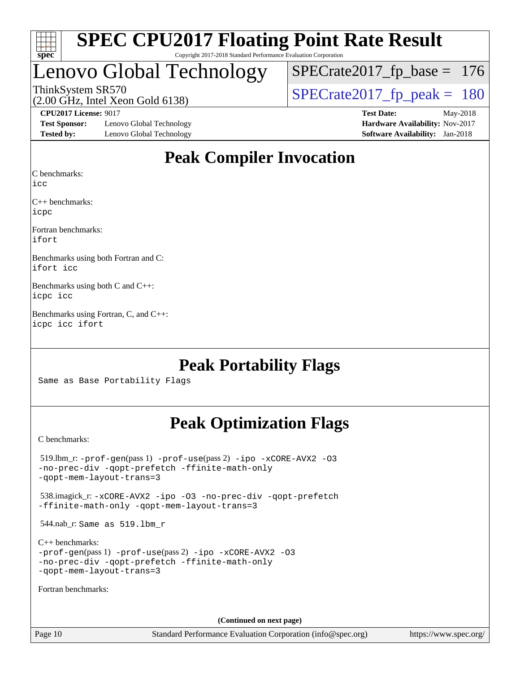

### Lenovo Global Technology

[SPECrate2017\\_fp\\_base =](http://www.spec.org/auto/cpu2017/Docs/result-fields.html#SPECrate2017fpbase) 176

(2.00 GHz, Intel Xeon Gold 6138) ThinkSystem SR570<br>(2.00 GHz, Intel Xeon Gold 6138) [SPECrate2017\\_fp\\_peak =](http://www.spec.org/auto/cpu2017/Docs/result-fields.html#SPECrate2017fppeak) 180

**[Test Sponsor:](http://www.spec.org/auto/cpu2017/Docs/result-fields.html#TestSponsor)** Lenovo Global Technology **[Hardware Availability:](http://www.spec.org/auto/cpu2017/Docs/result-fields.html#HardwareAvailability)** Nov-2017 **[Tested by:](http://www.spec.org/auto/cpu2017/Docs/result-fields.html#Testedby)** Lenovo Global Technology **[Software Availability:](http://www.spec.org/auto/cpu2017/Docs/result-fields.html#SoftwareAvailability)** Jan-2018

**[CPU2017 License:](http://www.spec.org/auto/cpu2017/Docs/result-fields.html#CPU2017License)** 9017 **[Test Date:](http://www.spec.org/auto/cpu2017/Docs/result-fields.html#TestDate)** May-2018

### **[Peak Compiler Invocation](http://www.spec.org/auto/cpu2017/Docs/result-fields.html#PeakCompilerInvocation)**

[C benchmarks](http://www.spec.org/auto/cpu2017/Docs/result-fields.html#Cbenchmarks):

[icc](http://www.spec.org/cpu2017/results/res2018q3/cpu2017-20180619-07160.flags.html#user_CCpeak_intel_icc_18.0_66fc1ee009f7361af1fbd72ca7dcefbb700085f36577c54f309893dd4ec40d12360134090235512931783d35fd58c0460139e722d5067c5574d8eaf2b3e37e92)

[C++ benchmarks:](http://www.spec.org/auto/cpu2017/Docs/result-fields.html#CXXbenchmarks) [icpc](http://www.spec.org/cpu2017/results/res2018q3/cpu2017-20180619-07160.flags.html#user_CXXpeak_intel_icpc_18.0_c510b6838c7f56d33e37e94d029a35b4a7bccf4766a728ee175e80a419847e808290a9b78be685c44ab727ea267ec2f070ec5dc83b407c0218cded6866a35d07)

[Fortran benchmarks](http://www.spec.org/auto/cpu2017/Docs/result-fields.html#Fortranbenchmarks): [ifort](http://www.spec.org/cpu2017/results/res2018q3/cpu2017-20180619-07160.flags.html#user_FCpeak_intel_ifort_18.0_8111460550e3ca792625aed983ce982f94888b8b503583aa7ba2b8303487b4d8a21a13e7191a45c5fd58ff318f48f9492884d4413fa793fd88dd292cad7027ca)

[Benchmarks using both Fortran and C](http://www.spec.org/auto/cpu2017/Docs/result-fields.html#BenchmarksusingbothFortranandC): [ifort](http://www.spec.org/cpu2017/results/res2018q3/cpu2017-20180619-07160.flags.html#user_CC_FCpeak_intel_ifort_18.0_8111460550e3ca792625aed983ce982f94888b8b503583aa7ba2b8303487b4d8a21a13e7191a45c5fd58ff318f48f9492884d4413fa793fd88dd292cad7027ca) [icc](http://www.spec.org/cpu2017/results/res2018q3/cpu2017-20180619-07160.flags.html#user_CC_FCpeak_intel_icc_18.0_66fc1ee009f7361af1fbd72ca7dcefbb700085f36577c54f309893dd4ec40d12360134090235512931783d35fd58c0460139e722d5067c5574d8eaf2b3e37e92)

[Benchmarks using both C and C++:](http://www.spec.org/auto/cpu2017/Docs/result-fields.html#BenchmarksusingbothCandCXX) [icpc](http://www.spec.org/cpu2017/results/res2018q3/cpu2017-20180619-07160.flags.html#user_CC_CXXpeak_intel_icpc_18.0_c510b6838c7f56d33e37e94d029a35b4a7bccf4766a728ee175e80a419847e808290a9b78be685c44ab727ea267ec2f070ec5dc83b407c0218cded6866a35d07) [icc](http://www.spec.org/cpu2017/results/res2018q3/cpu2017-20180619-07160.flags.html#user_CC_CXXpeak_intel_icc_18.0_66fc1ee009f7361af1fbd72ca7dcefbb700085f36577c54f309893dd4ec40d12360134090235512931783d35fd58c0460139e722d5067c5574d8eaf2b3e37e92)

[Benchmarks using Fortran, C, and C++](http://www.spec.org/auto/cpu2017/Docs/result-fields.html#BenchmarksusingFortranCandCXX): [icpc](http://www.spec.org/cpu2017/results/res2018q3/cpu2017-20180619-07160.flags.html#user_CC_CXX_FCpeak_intel_icpc_18.0_c510b6838c7f56d33e37e94d029a35b4a7bccf4766a728ee175e80a419847e808290a9b78be685c44ab727ea267ec2f070ec5dc83b407c0218cded6866a35d07) [icc](http://www.spec.org/cpu2017/results/res2018q3/cpu2017-20180619-07160.flags.html#user_CC_CXX_FCpeak_intel_icc_18.0_66fc1ee009f7361af1fbd72ca7dcefbb700085f36577c54f309893dd4ec40d12360134090235512931783d35fd58c0460139e722d5067c5574d8eaf2b3e37e92) [ifort](http://www.spec.org/cpu2017/results/res2018q3/cpu2017-20180619-07160.flags.html#user_CC_CXX_FCpeak_intel_ifort_18.0_8111460550e3ca792625aed983ce982f94888b8b503583aa7ba2b8303487b4d8a21a13e7191a45c5fd58ff318f48f9492884d4413fa793fd88dd292cad7027ca)

### **[Peak Portability Flags](http://www.spec.org/auto/cpu2017/Docs/result-fields.html#PeakPortabilityFlags)**

Same as Base Portability Flags

### **[Peak Optimization Flags](http://www.spec.org/auto/cpu2017/Docs/result-fields.html#PeakOptimizationFlags)**

[C benchmarks](http://www.spec.org/auto/cpu2017/Docs/result-fields.html#Cbenchmarks):

 519.lbm\_r: [-prof-gen](http://www.spec.org/cpu2017/results/res2018q3/cpu2017-20180619-07160.flags.html#user_peakPASS1_CFLAGSPASS1_LDFLAGS519_lbm_r_prof_gen_5aa4926d6013ddb2a31985c654b3eb18169fc0c6952a63635c234f711e6e63dd76e94ad52365559451ec499a2cdb89e4dc58ba4c67ef54ca681ffbe1461d6b36)(pass 1) [-prof-use](http://www.spec.org/cpu2017/results/res2018q3/cpu2017-20180619-07160.flags.html#user_peakPASS2_CFLAGSPASS2_LDFLAGS519_lbm_r_prof_use_1a21ceae95f36a2b53c25747139a6c16ca95bd9def2a207b4f0849963b97e94f5260e30a0c64f4bb623698870e679ca08317ef8150905d41bd88c6f78df73f19)(pass 2) [-ipo](http://www.spec.org/cpu2017/results/res2018q3/cpu2017-20180619-07160.flags.html#user_peakPASS1_COPTIMIZEPASS2_COPTIMIZE519_lbm_r_f-ipo) [-xCORE-AVX2](http://www.spec.org/cpu2017/results/res2018q3/cpu2017-20180619-07160.flags.html#user_peakPASS2_COPTIMIZE519_lbm_r_f-xCORE-AVX2) [-O3](http://www.spec.org/cpu2017/results/res2018q3/cpu2017-20180619-07160.flags.html#user_peakPASS1_COPTIMIZEPASS2_COPTIMIZE519_lbm_r_f-O3) [-no-prec-div](http://www.spec.org/cpu2017/results/res2018q3/cpu2017-20180619-07160.flags.html#user_peakPASS1_COPTIMIZEPASS2_COPTIMIZE519_lbm_r_f-no-prec-div) [-qopt-prefetch](http://www.spec.org/cpu2017/results/res2018q3/cpu2017-20180619-07160.flags.html#user_peakPASS1_COPTIMIZEPASS2_COPTIMIZE519_lbm_r_f-qopt-prefetch) [-ffinite-math-only](http://www.spec.org/cpu2017/results/res2018q3/cpu2017-20180619-07160.flags.html#user_peakPASS1_COPTIMIZEPASS2_COPTIMIZE519_lbm_r_f_finite_math_only_cb91587bd2077682c4b38af759c288ed7c732db004271a9512da14a4f8007909a5f1427ecbf1a0fb78ff2a814402c6114ac565ca162485bbcae155b5e4258871) [-qopt-mem-layout-trans=3](http://www.spec.org/cpu2017/results/res2018q3/cpu2017-20180619-07160.flags.html#user_peakPASS1_COPTIMIZEPASS2_COPTIMIZE519_lbm_r_f-qopt-mem-layout-trans_de80db37974c74b1f0e20d883f0b675c88c3b01e9d123adea9b28688d64333345fb62bc4a798493513fdb68f60282f9a726aa07f478b2f7113531aecce732043) 538.imagick\_r: [-xCORE-AVX2](http://www.spec.org/cpu2017/results/res2018q3/cpu2017-20180619-07160.flags.html#user_peakCOPTIMIZE538_imagick_r_f-xCORE-AVX2) [-ipo](http://www.spec.org/cpu2017/results/res2018q3/cpu2017-20180619-07160.flags.html#user_peakCOPTIMIZE538_imagick_r_f-ipo) [-O3](http://www.spec.org/cpu2017/results/res2018q3/cpu2017-20180619-07160.flags.html#user_peakCOPTIMIZE538_imagick_r_f-O3) [-no-prec-div](http://www.spec.org/cpu2017/results/res2018q3/cpu2017-20180619-07160.flags.html#user_peakCOPTIMIZE538_imagick_r_f-no-prec-div) [-qopt-prefetch](http://www.spec.org/cpu2017/results/res2018q3/cpu2017-20180619-07160.flags.html#user_peakCOPTIMIZE538_imagick_r_f-qopt-prefetch) [-ffinite-math-only](http://www.spec.org/cpu2017/results/res2018q3/cpu2017-20180619-07160.flags.html#user_peakCOPTIMIZE538_imagick_r_f_finite_math_only_cb91587bd2077682c4b38af759c288ed7c732db004271a9512da14a4f8007909a5f1427ecbf1a0fb78ff2a814402c6114ac565ca162485bbcae155b5e4258871) [-qopt-mem-layout-trans=3](http://www.spec.org/cpu2017/results/res2018q3/cpu2017-20180619-07160.flags.html#user_peakCOPTIMIZE538_imagick_r_f-qopt-mem-layout-trans_de80db37974c74b1f0e20d883f0b675c88c3b01e9d123adea9b28688d64333345fb62bc4a798493513fdb68f60282f9a726aa07f478b2f7113531aecce732043) 544.nab\_r: Same as 519.lbm\_r [C++ benchmarks:](http://www.spec.org/auto/cpu2017/Docs/result-fields.html#CXXbenchmarks) [-prof-gen](http://www.spec.org/cpu2017/results/res2018q3/cpu2017-20180619-07160.flags.html#user_CXXpeak_prof_gen_5aa4926d6013ddb2a31985c654b3eb18169fc0c6952a63635c234f711e6e63dd76e94ad52365559451ec499a2cdb89e4dc58ba4c67ef54ca681ffbe1461d6b36)(pass 1) [-prof-use](http://www.spec.org/cpu2017/results/res2018q3/cpu2017-20180619-07160.flags.html#user_CXXpeak_prof_use_1a21ceae95f36a2b53c25747139a6c16ca95bd9def2a207b4f0849963b97e94f5260e30a0c64f4bb623698870e679ca08317ef8150905d41bd88c6f78df73f19)(pass 2) [-ipo](http://www.spec.org/cpu2017/results/res2018q3/cpu2017-20180619-07160.flags.html#user_CXXpeak_f-ipo) [-xCORE-AVX2](http://www.spec.org/cpu2017/results/res2018q3/cpu2017-20180619-07160.flags.html#user_CXXpeak_f-xCORE-AVX2) [-O3](http://www.spec.org/cpu2017/results/res2018q3/cpu2017-20180619-07160.flags.html#user_CXXpeak_f-O3) [-no-prec-div](http://www.spec.org/cpu2017/results/res2018q3/cpu2017-20180619-07160.flags.html#user_CXXpeak_f-no-prec-div) [-qopt-prefetch](http://www.spec.org/cpu2017/results/res2018q3/cpu2017-20180619-07160.flags.html#user_CXXpeak_f-qopt-prefetch) [-ffinite-math-only](http://www.spec.org/cpu2017/results/res2018q3/cpu2017-20180619-07160.flags.html#user_CXXpeak_f_finite_math_only_cb91587bd2077682c4b38af759c288ed7c732db004271a9512da14a4f8007909a5f1427ecbf1a0fb78ff2a814402c6114ac565ca162485bbcae155b5e4258871) [-qopt-mem-layout-trans=3](http://www.spec.org/cpu2017/results/res2018q3/cpu2017-20180619-07160.flags.html#user_CXXpeak_f-qopt-mem-layout-trans_de80db37974c74b1f0e20d883f0b675c88c3b01e9d123adea9b28688d64333345fb62bc4a798493513fdb68f60282f9a726aa07f478b2f7113531aecce732043) [Fortran benchmarks](http://www.spec.org/auto/cpu2017/Docs/result-fields.html#Fortranbenchmarks): **(Continued on next page)**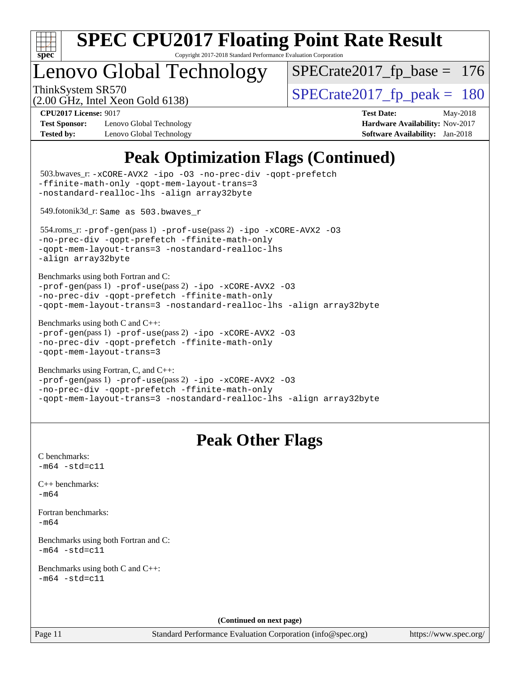

Copyright 2017-2018 Standard Performance Evaluation Corporation

## enovo Global Technology

[SPECrate2017\\_fp\\_base =](http://www.spec.org/auto/cpu2017/Docs/result-fields.html#SPECrate2017fpbase) 176

(2.00 GHz, Intel Xeon Gold 6138)

ThinkSystem SR570<br>  $\langle 2.00 \rangle$  CH<sub>z</sub> Intel Year Gold 6138)<br>  $\langle 3.00 \rangle$  [SPECrate2017\\_fp\\_peak =](http://www.spec.org/auto/cpu2017/Docs/result-fields.html#SPECrate2017fppeak) 180

**[Test Sponsor:](http://www.spec.org/auto/cpu2017/Docs/result-fields.html#TestSponsor)** Lenovo Global Technology **[Hardware Availability:](http://www.spec.org/auto/cpu2017/Docs/result-fields.html#HardwareAvailability)** Nov-2017 **[Tested by:](http://www.spec.org/auto/cpu2017/Docs/result-fields.html#Testedby)** Lenovo Global Technology **[Software Availability:](http://www.spec.org/auto/cpu2017/Docs/result-fields.html#SoftwareAvailability)** Jan-2018

**[CPU2017 License:](http://www.spec.org/auto/cpu2017/Docs/result-fields.html#CPU2017License)** 9017 **[Test Date:](http://www.spec.org/auto/cpu2017/Docs/result-fields.html#TestDate)** May-2018

### **[Peak Optimization Flags \(Continued\)](http://www.spec.org/auto/cpu2017/Docs/result-fields.html#PeakOptimizationFlags)**

```
(info@spec.org)https://www.spec.org/
  503.bwaves_r: -xCORE-AVX2 -ipo -O3 -no-prec-div -qopt-prefetch
-ffinite-math-only -qopt-mem-layout-trans=3
-nostandard-realloc-lhs -align array32byte
  549.fotonik3d_r: Same as 503.bwaves_r
  554.roms_r: -prof-gen(pass 1) -prof-use(pass 2) -ipo -xCORE-AVX2 -O3
-no-prec-div -qopt-prefetch -ffinite-math-only
-qopt-mem-layout-trans=3 -nostandard-realloc-lhs
-align array32byte
Benchmarks using both Fortran and C: 
-prof-gen(pass 1) -prof-use(pass 2) -ipo -xCORE-AVX2 -O3
-no-prec-div -qopt-prefetch -ffinite-math-only
-qopt-mem-layout-trans=3 -nostandard-realloc-lhs -align array32byte
Benchmarks using both C and C++: 
-prof-gen(pass 1) -prof-use(pass 2) -ipo -xCORE-AVX2 -O3
-no-prec-div -qopt-prefetch -ffinite-math-only
-qopt-mem-layout-trans=3
Benchmarks using Fortran, C, and C++: 
-prof-gen(pass 1) -prof-use(pass 2) -ipo -xCORE-AVX2 -O3
-no-prec-div -qopt-prefetch -ffinite-math-only
-qopt-mem-layout-trans=3 -nostandard-realloc-lhs -align array32byte
                                 Peak Other Flags
C benchmarks: 
-m64 - std= c11C++ benchmarks: 
-m64Fortran benchmarks: 
-m64
Benchmarks using both Fortran and C: 
-m64 - std= c11Benchmarks using both C and C++: 
-m64 - std= c11(Continued on next page)
```